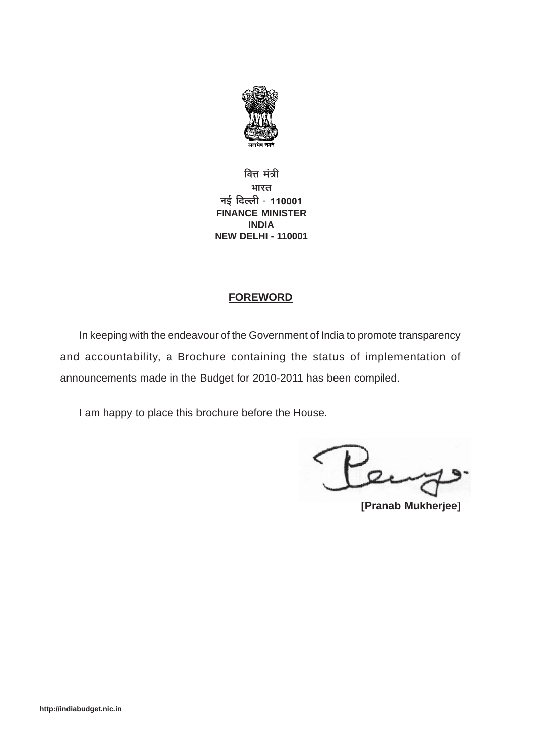

**वित्त** मंत्री **भारत जई दिल्ली - 110001 FINANCE MINISTER INDIA NEW DELHI - 110001**

## **FOREWORD**

In keeping with the endeavour of the Government of India to promote transparency and accountability, a Brochure containing the status of implementation of announcements made in the Budget for 2010-2011 has been compiled.

I am happy to place this brochure before the House.

 $2$ 

**[Pranab Mukherjee]**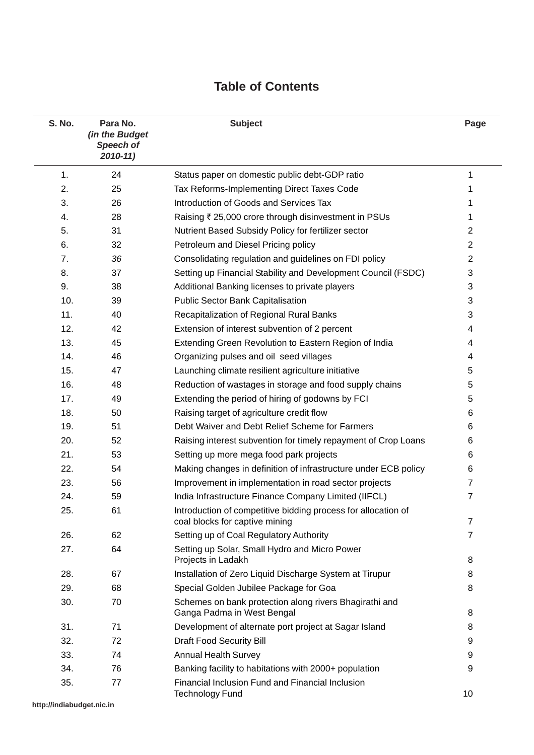# **Table of Contents**

| S. No. | Para No.<br>(in the Budget<br>Speech of<br>$2010 - 11$ | <b>Subject</b>                                                                                  | Page           |
|--------|--------------------------------------------------------|-------------------------------------------------------------------------------------------------|----------------|
| 1.     | 24                                                     | Status paper on domestic public debt-GDP ratio                                                  | 1              |
| 2.     | 25                                                     | Tax Reforms-Implementing Direct Taxes Code                                                      | 1              |
| 3.     | 26                                                     | Introduction of Goods and Services Tax                                                          | 1              |
| 4.     | 28                                                     | Raising ₹ 25,000 crore through disinvestment in PSUs                                            | 1              |
| 5.     | 31                                                     | Nutrient Based Subsidy Policy for fertilizer sector                                             | 2              |
| 6.     | 32                                                     | Petroleum and Diesel Pricing policy                                                             | $\overline{2}$ |
| 7.     | 36                                                     | Consolidating regulation and guidelines on FDI policy                                           | $\overline{2}$ |
| 8.     | 37                                                     | Setting up Financial Stability and Development Council (FSDC)                                   | 3              |
| 9.     | 38                                                     | Additional Banking licenses to private players                                                  | 3              |
| 10.    | 39                                                     | Public Sector Bank Capitalisation                                                               | 3              |
| 11.    | 40                                                     | Recapitalization of Regional Rural Banks                                                        | 3              |
| 12.    | 42                                                     | Extension of interest subvention of 2 percent                                                   | 4              |
| 13.    | 45                                                     | Extending Green Revolution to Eastern Region of India                                           | 4              |
| 14.    | 46                                                     | Organizing pulses and oil seed villages                                                         | 4              |
| 15.    | 47                                                     | Launching climate resilient agriculture initiative                                              | 5              |
| 16.    | 48                                                     | Reduction of wastages in storage and food supply chains                                         | 5              |
| 17.    | 49                                                     | Extending the period of hiring of godowns by FCI                                                | 5              |
| 18.    | 50                                                     | Raising target of agriculture credit flow                                                       | 6              |
| 19.    | 51                                                     | Debt Waiver and Debt Relief Scheme for Farmers                                                  | 6              |
| 20.    | 52                                                     | Raising interest subvention for timely repayment of Crop Loans                                  | 6              |
| 21.    | 53                                                     | Setting up more mega food park projects                                                         | 6              |
| 22.    | 54                                                     | Making changes in definition of infrastructure under ECB policy                                 | 6              |
| 23.    | 56                                                     | Improvement in implementation in road sector projects                                           | $\overline{7}$ |
| 24.    | 59                                                     | India Infrastructure Finance Company Limited (IIFCL)                                            | 7              |
| 25.    | 61                                                     | Introduction of competitive bidding process for allocation of<br>coal blocks for captive mining | $\overline{7}$ |
| 26.    | 62                                                     | Setting up of Coal Regulatory Authority                                                         | $\overline{7}$ |
| 27.    | 64                                                     | Setting up Solar, Small Hydro and Micro Power<br>Projects in Ladakh                             | 8              |
| 28.    | 67                                                     | Installation of Zero Liquid Discharge System at Tirupur                                         | 8              |
| 29.    | 68                                                     | Special Golden Jubilee Package for Goa                                                          | 8              |
| 30.    | 70                                                     | Schemes on bank protection along rivers Bhagirathi and<br>Ganga Padma in West Bengal            | 8              |
| 31.    | 71                                                     | Development of alternate port project at Sagar Island                                           | 8              |
| 32.    | 72                                                     | <b>Draft Food Security Bill</b>                                                                 | 9              |
| 33.    | 74                                                     | <b>Annual Health Survey</b>                                                                     | 9              |
| 34.    | 76                                                     | Banking facility to habitations with 2000+ population                                           | 9              |
| 35.    | 77                                                     | Financial Inclusion Fund and Financial Inclusion<br><b>Technology Fund</b>                      | 10             |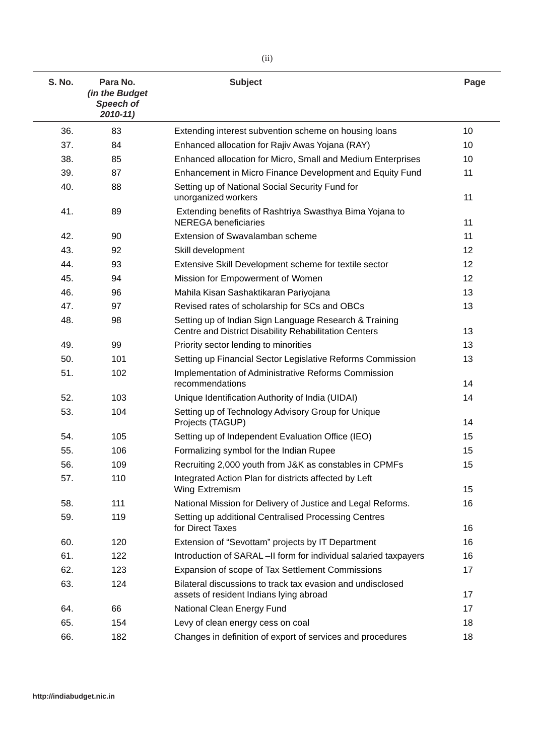| S. No. | Para No.<br>(in the Budget<br>Speech of<br>$2010 - 11$ | <b>Subject</b>                                                                                                  | Page |
|--------|--------------------------------------------------------|-----------------------------------------------------------------------------------------------------------------|------|
| 36.    | 83                                                     | Extending interest subvention scheme on housing loans                                                           | 10   |
| 37.    | 84                                                     | Enhanced allocation for Rajiv Awas Yojana (RAY)                                                                 | 10   |
| 38.    | 85                                                     | Enhanced allocation for Micro, Small and Medium Enterprises                                                     | 10   |
| 39.    | 87                                                     | Enhancement in Micro Finance Development and Equity Fund                                                        | 11   |
| 40.    | 88                                                     | Setting up of National Social Security Fund for<br>unorganized workers                                          | 11   |
| 41.    | 89                                                     | Extending benefits of Rashtriya Swasthya Bima Yojana to<br><b>NEREGA</b> beneficiaries                          | 11   |
| 42.    | 90                                                     | Extension of Swavalamban scheme                                                                                 | 11   |
| 43.    | 92                                                     | Skill development                                                                                               | 12   |
| 44.    | 93                                                     | Extensive Skill Development scheme for textile sector                                                           | 12   |
| 45.    | 94                                                     | Mission for Empowerment of Women                                                                                | 12   |
| 46.    | 96                                                     | Mahila Kisan Sashaktikaran Pariyojana                                                                           | 13   |
| 47.    | 97                                                     | Revised rates of scholarship for SCs and OBCs                                                                   | 13   |
| 48.    | 98                                                     | Setting up of Indian Sign Language Research & Training<br>Centre and District Disability Rehabilitation Centers | 13   |
| 49.    | 99                                                     | Priority sector lending to minorities                                                                           | 13   |
| 50.    | 101                                                    | Setting up Financial Sector Legislative Reforms Commission                                                      | 13   |
| 51.    | 102                                                    | Implementation of Administrative Reforms Commission<br>recommendations                                          | 14   |
| 52.    | 103                                                    | Unique Identification Authority of India (UIDAI)                                                                | 14   |
| 53.    | 104                                                    | Setting up of Technology Advisory Group for Unique<br>Projects (TAGUP)                                          | 14   |
| 54.    | 105                                                    | Setting up of Independent Evaluation Office (IEO)                                                               | 15   |
| 55.    | 106                                                    | Formalizing symbol for the Indian Rupee                                                                         | 15   |
| 56.    | 109                                                    | Recruiting 2,000 youth from J&K as constables in CPMFs                                                          | 15   |
| 57.    | 110                                                    | Integrated Action Plan for districts affected by Left<br>Wing Extremism                                         | 15   |
| 58.    | 111                                                    | National Mission for Delivery of Justice and Legal Reforms.                                                     | 16   |
| 59.    | 119                                                    | Setting up additional Centralised Processing Centres<br>for Direct Taxes                                        | 16   |
| 60.    | 120                                                    | Extension of "Sevottam" projects by IT Department                                                               | 16   |
| 61.    | 122                                                    | Introduction of SARAL-II form for individual salaried taxpayers                                                 | 16   |
| 62.    | 123                                                    | Expansion of scope of Tax Settlement Commissions                                                                | 17   |
| 63.    | 124                                                    | Bilateral discussions to track tax evasion and undisclosed<br>assets of resident Indians lying abroad           | 17   |
| 64.    | 66                                                     | National Clean Energy Fund                                                                                      | 17   |
| 65.    | 154                                                    | Levy of clean energy cess on coal                                                                               | 18   |
| 66.    | 182                                                    | Changes in definition of export of services and procedures                                                      | 18   |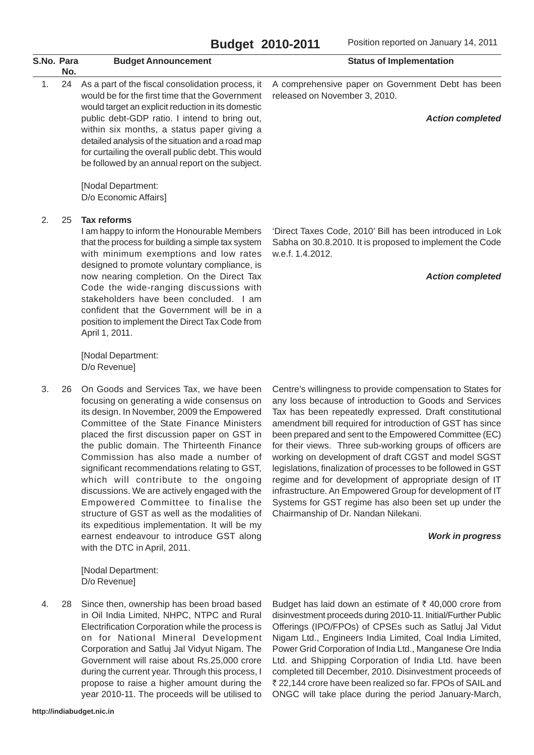| S.No. Para | No. | <b>Budget Announcement</b>                                                                                                                                                                                                                                                                                                                                                                                                                                                                                                                                                                                                                                                         | <b>Status of Implementation</b>                                                                                                                                                                                                                                                                                                                                                                                                                                                                                                                                                                                                                                                                                                               |
|------------|-----|------------------------------------------------------------------------------------------------------------------------------------------------------------------------------------------------------------------------------------------------------------------------------------------------------------------------------------------------------------------------------------------------------------------------------------------------------------------------------------------------------------------------------------------------------------------------------------------------------------------------------------------------------------------------------------|-----------------------------------------------------------------------------------------------------------------------------------------------------------------------------------------------------------------------------------------------------------------------------------------------------------------------------------------------------------------------------------------------------------------------------------------------------------------------------------------------------------------------------------------------------------------------------------------------------------------------------------------------------------------------------------------------------------------------------------------------|
| 1.         | 24  | As a part of the fiscal consolidation process, it<br>would be for the first time that the Government<br>would target an explicit reduction in its domestic<br>public debt-GDP ratio. I intend to bring out,<br>within six months, a status paper giving a<br>detailed analysis of the situation and a road map<br>for curtailing the overall public debt. This would<br>be followed by an annual report on the subject.                                                                                                                                                                                                                                                            | A comprehensive paper on Government Debt has been<br>released on November 3, 2010.<br><b>Action completed</b>                                                                                                                                                                                                                                                                                                                                                                                                                                                                                                                                                                                                                                 |
|            |     | [Nodal Department:<br>D/o Economic Affairs]                                                                                                                                                                                                                                                                                                                                                                                                                                                                                                                                                                                                                                        |                                                                                                                                                                                                                                                                                                                                                                                                                                                                                                                                                                                                                                                                                                                                               |
| 2.         | 25  | <b>Tax reforms</b><br>I am happy to inform the Honourable Members<br>that the process for building a simple tax system<br>with minimum exemptions and low rates<br>designed to promote voluntary compliance, is<br>now nearing completion. On the Direct Tax<br>Code the wide-ranging discussions with<br>stakeholders have been concluded. I am<br>confident that the Government will be in a<br>position to implement the Direct Tax Code from<br>April 1, 2011.                                                                                                                                                                                                                 | 'Direct Taxes Code, 2010' Bill has been introduced in Lok<br>Sabha on 30.8.2010. It is proposed to implement the Code<br>w.e.f. 1.4.2012.<br><b>Action completed</b>                                                                                                                                                                                                                                                                                                                                                                                                                                                                                                                                                                          |
|            |     | [Nodal Department:<br>D/o Revenue]                                                                                                                                                                                                                                                                                                                                                                                                                                                                                                                                                                                                                                                 |                                                                                                                                                                                                                                                                                                                                                                                                                                                                                                                                                                                                                                                                                                                                               |
| 3.         | 26  | On Goods and Services Tax, we have been<br>focusing on generating a wide consensus on<br>its design. In November, 2009 the Empowered<br>Committee of the State Finance Ministers<br>placed the first discussion paper on GST in<br>the public domain. The Thirteenth Finance<br>Commission has also made a number of<br>significant recommendations relating to GST,<br>which will contribute to the ongoing<br>discussions. We are actively engaged with the<br>Empowered Committee to finalise the<br>structure of GST as well as the modalities of<br>its expeditious implementation. It will be my<br>earnest endeavour to introduce GST along<br>with the DTC in April, 2011. | Centre's willingness to provide compensation to States for<br>any loss because of introduction to Goods and Services<br>Tax has been repeatedly expressed. Draft constitutional<br>amendment bill required for introduction of GST has since<br>been prepared and sent to the Empowered Committee (EC)<br>for their views. Three sub-working groups of officers are<br>working on development of draft CGST and model SGST<br>legislations, finalization of processes to be followed in GST<br>regime and for development of appropriate design of IT<br>infrastructure. An Empowered Group for development of IT<br>Systems for GST regime has also been set up under the<br>Chairmanship of Dr. Nandan Nilekani.<br><b>Work in progress</b> |
|            |     | [Nodal Department:<br>D/o Revenue]                                                                                                                                                                                                                                                                                                                                                                                                                                                                                                                                                                                                                                                 |                                                                                                                                                                                                                                                                                                                                                                                                                                                                                                                                                                                                                                                                                                                                               |

4. 28 Since then, ownership has been broad based in Oil India Limited, NHPC, NTPC and Rural Electrification Corporation while the process is on for National Mineral Development Corporation and Satluj Jal Vidyut Nigam. The Government will raise about Rs.25,000 crore during the current year. Through this process, I propose to raise a higher amount during the year 2010-11. The proceeds will be utilised to

**http://indiabudget.nic.in**

Budget has laid down an estimate of  $\bar{\tau}$  40,000 crore from disinvestment proceeds during 2010-11. Initial/Further Public Offerings (IPO/FPOs) of CPSEs such as Satluj Jal Vidut Nigam Ltd., Engineers India Limited, Coal India Limited, Power Grid Corporation of India Ltd., Manganese Ore India Ltd. and Shipping Corporation of India Ltd. have been completed till December, 2010. Disinvestment proceeds of ₹ 22,144 crore have been realized so far. FPOs of SAIL and ONGC will take place during the period January-March,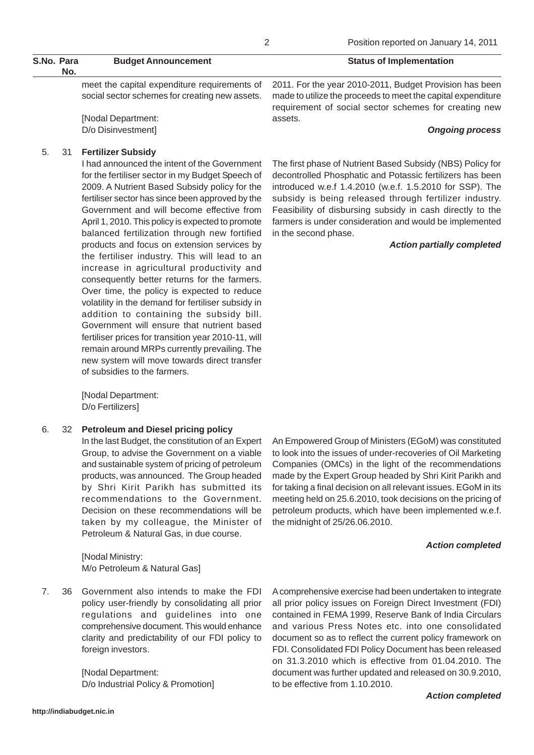| S.No. Para<br>No. | <b>Budget Announcement</b> | <b>Status of Implementation</b>                                                                      |
|-------------------|----------------------------|------------------------------------------------------------------------------------------------------|
|                   |                            | meet the capital expenditure requirements of 2011. For the year 2010-2011, Budget Provision has been |

social sector schemes for creating new assets.

[Nodal Department: D/o Disinvestment]

### 5. 31 **Fertilizer Subsidy**

I had announced the intent of the Government for the fertiliser sector in my Budget Speech of 2009. A Nutrient Based Subsidy policy for the fertiliser sector has since been approved by the Government and will become effective from April 1, 2010. This policy is expected to promote balanced fertilization through new fortified products and focus on extension services by the fertiliser industry. This will lead to an increase in agricultural productivity and consequently better returns for the farmers. Over time, the policy is expected to reduce volatility in the demand for fertiliser subsidy in addition to containing the subsidy bill. Government will ensure that nutrient based fertiliser prices for transition year 2010-11, will remain around MRPs currently prevailing. The new system will move towards direct transfer of subsidies to the farmers.

[Nodal Department: D/o Fertilizers]

### 6. 32 **Petroleum and Diesel pricing policy**

In the last Budget, the constitution of an Expert Group, to advise the Government on a viable and sustainable system of pricing of petroleum products, was announced. The Group headed by Shri Kirit Parikh has submitted its recommendations to the Government. Decision on these recommendations will be taken by my colleague, the Minister of Petroleum & Natural Gas, in due course.

[Nodal Ministry: M/o Petroleum & Natural Gas]

7. 36 Government also intends to make the FDI policy user-friendly by consolidating all prior regulations and guidelines into one comprehensive document. This would enhance clarity and predictability of our FDI policy to foreign investors.

> [Nodal Department: D/o Industrial Policy & Promotion]

made to utilize the proceeds to meet the capital expenditure requirement of social sector schemes for creating new assets.

#### *Ongoing process*

The first phase of Nutrient Based Subsidy (NBS) Policy for decontrolled Phosphatic and Potassic fertilizers has been introduced w.e.f 1.4.2010 (w.e.f. 1.5.2010 for SSP). The subsidy is being released through fertilizer industry. Feasibility of disbursing subsidy in cash directly to the farmers is under consideration and would be implemented in the second phase.

### *Action partially completed*

An Empowered Group of Ministers (EGoM) was constituted to look into the issues of under-recoveries of Oil Marketing Companies (OMCs) in the light of the recommendations made by the Expert Group headed by Shri Kirit Parikh and for taking a final decision on all relevant issues. EGoM in its meeting held on 25.6.2010, took decisions on the pricing of petroleum products, which have been implemented w.e.f. the midnight of 25/26.06.2010.

#### *Action completed*

A comprehensive exercise had been undertaken to integrate all prior policy issues on Foreign Direct Investment (FDI) contained in FEMA 1999, Reserve Bank of India Circulars and various Press Notes etc. into one consolidated document so as to reflect the current policy framework on FDI. Consolidated FDI Policy Document has been released on 31.3.2010 which is effective from 01.04.2010. The document was further updated and released on 30.9.2010, to be effective from 1.10.2010.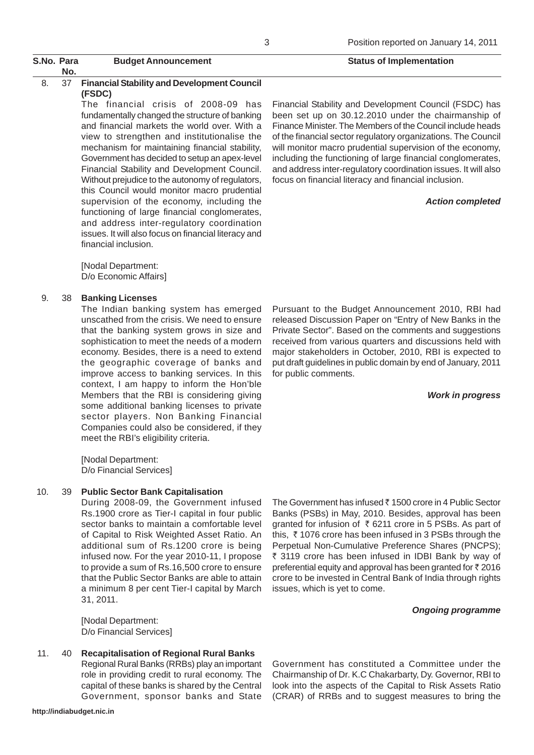The financial crisis of 2008-09 has fundamentally changed the structure of banking and financial markets the world over. With a view to strengthen and institutionalise the mechanism for maintaining financial stability, Government has decided to setup an apex-level Financial Stability and Development Council. Without prejudice to the autonomy of regulators, this Council would monitor macro prudential supervision of the economy, including the functioning of large financial conglomerates, and address inter-regulatory coordination issues. It will also focus on financial literacy and financial inclusion.

[Nodal Department: D/o Economic Affairs]

#### 9. 38 **Banking Licenses**

**No.**

The Indian banking system has emerged unscathed from the crisis. We need to ensure that the banking system grows in size and sophistication to meet the needs of a modern economy. Besides, there is a need to extend the geographic coverage of banks and improve access to banking services. In this context, I am happy to inform the Hon'ble Members that the RBI is considering giving some additional banking licenses to private sector players. Non Banking Financial Companies could also be considered, if they meet the RBI's eligibility criteria.

[Nodal Department: D/o Financial Services]

#### 10. 39 **Public Sector Bank Capitalisation**

During 2008-09, the Government infused Rs.1900 crore as Tier-I capital in four public sector banks to maintain a comfortable level of Capital to Risk Weighted Asset Ratio. An additional sum of Rs.1200 crore is being infused now. For the year 2010-11, I propose to provide a sum of Rs.16,500 crore to ensure that the Public Sector Banks are able to attain a minimum 8 per cent Tier-I capital by March 31, 2011.

[Nodal Department: D/o Financial Services]

- 11. 40 **Recapitalisation of Regional Rural Banks**
	- Regional Rural Banks (RRBs) play an important role in providing credit to rural economy. The capital of these banks is shared by the Central Government, sponsor banks and State

Financial Stability and Development Council (FSDC) has been set up on 30.12.2010 under the chairmanship of Finance Minister. The Members of the Council include heads of the financial sector regulatory organizations. The Council will monitor macro prudential supervision of the economy, including the functioning of large financial conglomerates, and address inter-regulatory coordination issues. It will also focus on financial literacy and financial inclusion.

#### *Action completed*

Pursuant to the Budget Announcement 2010, RBI had released Discussion Paper on "Entry of New Banks in the Private Sector". Based on the comments and suggestions received from various quarters and discussions held with major stakeholders in October, 2010, RBI is expected to put draft guidelines in public domain by end of January, 2011 for public comments.

*Work in progress*

The Government has infused  $\bar{\tau}$  1500 crore in 4 Public Sector Banks (PSBs) in May, 2010. Besides, approval has been granted for infusion of  $\bar{\tau}$  6211 crore in 5 PSBs. As part of this,  $\bar{\tau}$  1076 crore has been infused in 3 PSBs through the Perpetual Non-Cumulative Preference Shares (PNCPS); ₹ 3119 crore has been infused in IDBI Bank by way of preferential equity and approval has been granted for  $\bar{\tau}$  2016 crore to be invested in Central Bank of India through rights issues, which is yet to come.

#### *Ongoing programme*

Government has constituted a Committee under the Chairmanship of Dr. K.C Chakarbarty, Dy. Governor, RBI to look into the aspects of the Capital to Risk Assets Ratio (CRAR) of RRBs and to suggest measures to bring the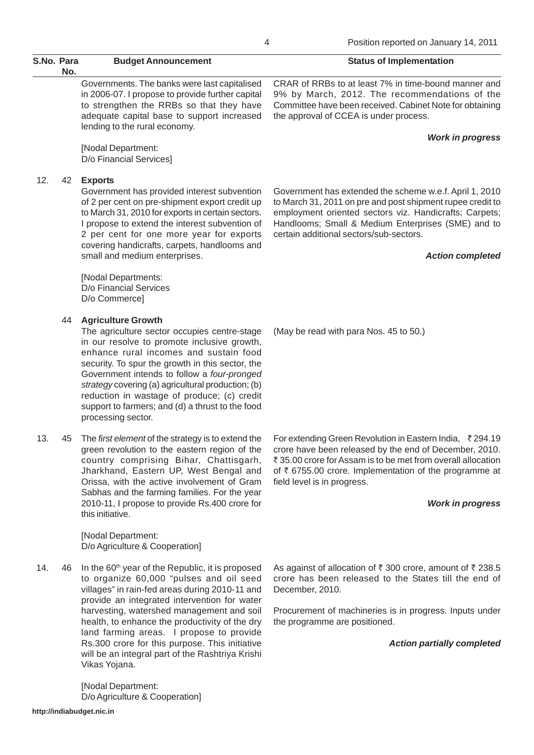Governments. The banks were last capitalised in 2006-07. I propose to provide further capital to strengthen the RRBs so that they have adequate capital base to support increased lending to the rural economy.

[Nodal Department: D/o Financial Services]

## 12. 42 **Exports**

Government has provided interest subvention of 2 per cent on pre-shipment export credit up to March 31, 2010 for exports in certain sectors. I propose to extend the interest subvention of 2 per cent for one more year for exports covering handicrafts, carpets, handlooms and small and medium enterprises.

[Nodal Departments: D/o Financial Services D/o Commerce]

## 44 **Agriculture Growth**

The agriculture sector occupies centre-stage in our resolve to promote inclusive growth, enhance rural incomes and sustain food security. To spur the growth in this sector, the Government intends to follow a *four-pronged strategy* covering (a) agricultural production; (b) reduction in wastage of produce; (c) credit support to farmers; and (d) a thrust to the food processing sector.

13. 45 The *first element* of the strategy is to extend the green revolution to the eastern region of the country comprising Bihar, Chattisgarh, Jharkhand, Eastern UP, West Bengal and Orissa, with the active involvement of Gram Sabhas and the farming families. For the year 2010-11, I propose to provide Rs.400 crore for this initiative.

> [Nodal Department: D/o Agriculture & Cooperation]

14.  $46$  In the 60<sup>th</sup> year of the Republic, it is proposed to organize 60,000 "pulses and oil seed villages" in rain-fed areas during 2010-11 and provide an integrated intervention for water harvesting, watershed management and soil health, to enhance the productivity of the dry land farming areas. I propose to provide Rs.300 crore for this purpose. This initiative will be an integral part of the Rashtriya Krishi Vikas Yojana.

> [Nodal Department: D/o Agriculture & Cooperation]

CRAR of RRBs to at least 7% in time-bound manner and 9% by March, 2012. The recommendations of the Committee have been received. Cabinet Note for obtaining the approval of CCEA is under process.

## *Work in progress*

Government has extended the scheme w.e.f. April 1, 2010 to March 31, 2011 on pre and post shipment rupee credit to employment oriented sectors viz. Handicrafts; Carpets; Handlooms; Small & Medium Enterprises (SME) and to certain additional sectors/sub-sectors.

## *Action completed*

(May be read with para Nos. 45 to 50.)

For extending Green Revolution in Eastern India, ₹294.19 crore have been released by the end of December, 2010. ₹ 35.00 crore for Assam is to be met from overall allocation of  $\bar{\tau}$  6755.00 crore. Implementation of the programme at field level is in progress.

### *Work in progress*

As against of allocation of  $\bar{\tau}$  300 crore, amount of  $\bar{\tau}$  238.5 crore has been released to the States till the end of December, 2010.

Procurement of machineries is in progress. Inputs under the programme are positioned.

*Action partially completed*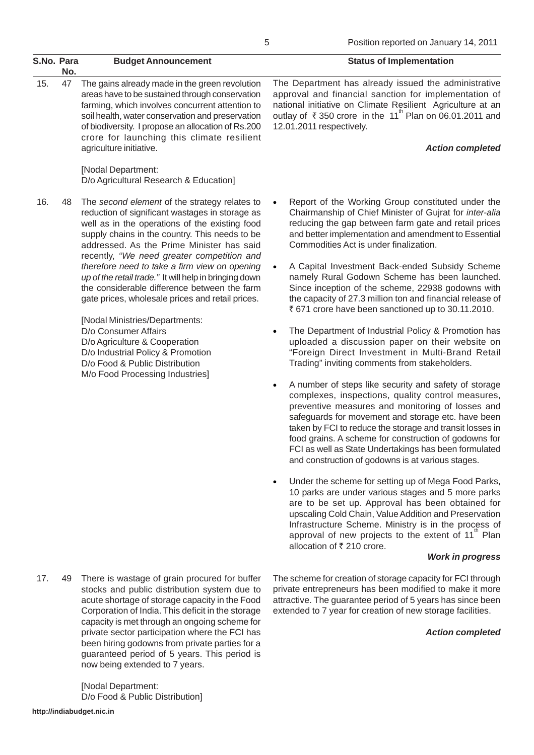|     | S.No. Para<br>No. | <b>Budget Announcement</b>                                                                                                                                                                                                                                                                                                              | <b>Status of Implementation</b>                                                                                                                                                                                                                                                                           |
|-----|-------------------|-----------------------------------------------------------------------------------------------------------------------------------------------------------------------------------------------------------------------------------------------------------------------------------------------------------------------------------------|-----------------------------------------------------------------------------------------------------------------------------------------------------------------------------------------------------------------------------------------------------------------------------------------------------------|
| 15. | 47                | The gains already made in the green revolution<br>areas have to be sustained through conservation<br>farming, which involves concurrent attention to<br>soil health, water conservation and preservation<br>of biodiversity. I propose an allocation of Rs.200<br>crore for launching this climate resilient<br>agriculture initiative. | The Department has already issued the administrative<br>approval and financial sanction for implementation of<br>national initiative on Climate Resilient Agriculture at an<br>outlay of ₹350 crore in the 11 <sup>th</sup> Plan on 06.01.2011 and<br>12.01.2011 respectively.<br><b>Action completed</b> |
|     |                   | [Nodal Department:                                                                                                                                                                                                                                                                                                                      |                                                                                                                                                                                                                                                                                                           |

D/o Agricultural Research & Education] 16. 48 The *second element* of the strategy relates to

reduction of significant wastages in storage as well as in the operations of the existing food supply chains in the country. This needs to be addressed. As the Prime Minister has said recently, *"We need greater competition and therefore need to take a firm view on opening up of the retail trade."* It will help in bringing down the considerable difference between the farm gate prices, wholesale prices and retail prices.

> [Nodal Ministries/Departments: D/o Consumer Affairs D/o Agriculture & Cooperation D/o Industrial Policy & Promotion D/o Food & Public Distribution M/o Food Processing Industries]

17. 49 There is wastage of grain procured for buffer stocks and public distribution system due to acute shortage of storage capacity in the Food Corporation of India. This deficit in the storage capacity is met through an ongoing scheme for private sector participation where the FCI has been hiring godowns from private parties for a guaranteed period of 5 years. This period is now being extended to 7 years.

> [Nodal Department: D/o Food & Public Distribution]

Report of the Working Group constituted under the Chairmanship of Chief Minister of Gujrat for *inter-alia* reducing the gap between farm gate and retail prices and better implementation and amendment to Essential Commodities Act is under finalization.

- A Capital Investment Back-ended Subsidy Scheme namely Rural Godown Scheme has been launched. Since inception of the scheme, 22938 godowns with the capacity of 27.3 million ton and financial release of ₹671 crore have been sanctioned up to 30.11.2010.
- The Department of Industrial Policy & Promotion has uploaded a discussion paper on their website on "Foreign Direct Investment in Multi-Brand Retail Trading" inviting comments from stakeholders.
- A number of steps like security and safety of storage complexes, inspections, quality control measures, preventive measures and monitoring of losses and safeguards for movement and storage etc. have been taken by FCI to reduce the storage and transit losses in food grains. A scheme for construction of godowns for FCI as well as State Undertakings has been formulated and construction of godowns is at various stages.
- Under the scheme for setting up of Mega Food Parks, 10 parks are under various stages and 5 more parks are to be set up. Approval has been obtained for upscaling Cold Chain, Value Addition and Preservation Infrastructure Scheme. Ministry is in the process of approval of new projects to the extent of  $11<sup>m</sup>$  Plan allocation of  $\bar{\tau}$  210 crore.

The scheme for creation of storage capacity for FCI through private entrepreneurs has been modified to make it more attractive. The guarantee period of 5 years has since been extended to 7 year for creation of new storage facilities.

#### *Work in progress*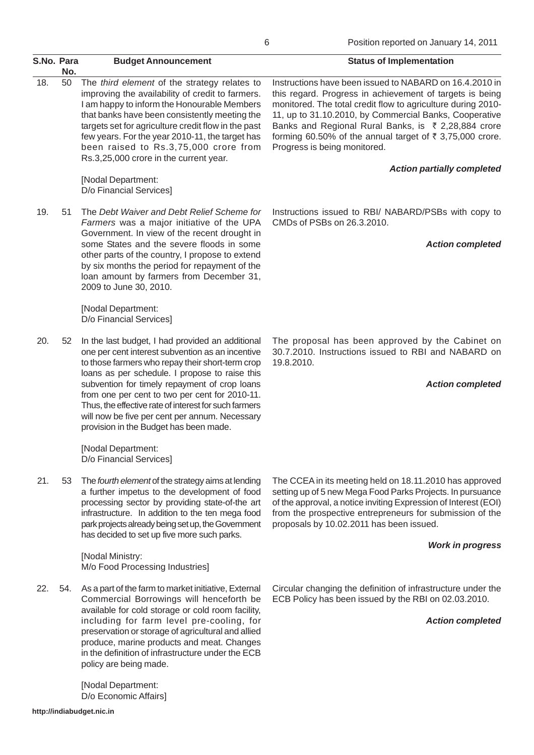| S.No. Para | No. | <b>Budget Announcement</b>                                                                                                                                                                                                                                                                                                                                                                                                                                         | <b>Status of Implementation</b>                                                                                                                                                                                                                                                                                                                                                                             |
|------------|-----|--------------------------------------------------------------------------------------------------------------------------------------------------------------------------------------------------------------------------------------------------------------------------------------------------------------------------------------------------------------------------------------------------------------------------------------------------------------------|-------------------------------------------------------------------------------------------------------------------------------------------------------------------------------------------------------------------------------------------------------------------------------------------------------------------------------------------------------------------------------------------------------------|
| 18.        | 50  | The third element of the strategy relates to<br>improving the availability of credit to farmers.<br>I am happy to inform the Honourable Members<br>that banks have been consistently meeting the<br>targets set for agriculture credit flow in the past<br>few years. For the year 2010-11, the target has<br>been raised to Rs.3,75,000 crore from<br>Rs.3,25,000 crore in the current year.                                                                      | Instructions have been issued to NABARD on 16.4.2010 in<br>this regard. Progress in achievement of targets is being<br>monitored. The total credit flow to agriculture during 2010-<br>11, up to 31.10.2010, by Commercial Banks, Cooperative<br>Banks and Regional Rural Banks, is ₹ 2,28,884 crore<br>forming 60.50% of the annual target of $\bar{\tau}$ 3,75,000 crore.<br>Progress is being monitored. |
|            |     | [Nodal Department:<br>D/o Financial Services]                                                                                                                                                                                                                                                                                                                                                                                                                      | <b>Action partially completed</b>                                                                                                                                                                                                                                                                                                                                                                           |
| 19.        | 51  | The Debt Waiver and Debt Relief Scheme for<br>Farmers was a major initiative of the UPA<br>Government. In view of the recent drought in<br>some States and the severe floods in some<br>other parts of the country, I propose to extend<br>by six months the period for repayment of the<br>loan amount by farmers from December 31,<br>2009 to June 30, 2010.                                                                                                     | Instructions issued to RBI/ NABARD/PSBs with copy to<br>CMDs of PSBs on 26.3.2010.<br><b>Action completed</b>                                                                                                                                                                                                                                                                                               |
|            |     | [Nodal Department:<br>D/o Financial Services]                                                                                                                                                                                                                                                                                                                                                                                                                      |                                                                                                                                                                                                                                                                                                                                                                                                             |
| 20.        | 52  | In the last budget, I had provided an additional<br>one per cent interest subvention as an incentive<br>to those farmers who repay their short-term crop<br>loans as per schedule. I propose to raise this<br>subvention for timely repayment of crop loans<br>from one per cent to two per cent for 2010-11.<br>Thus, the effective rate of interest for such farmers<br>will now be five per cent per annum. Necessary<br>provision in the Budget has been made. | The proposal has been approved by the Cabinet on<br>30.7.2010. Instructions issued to RBI and NABARD on<br>19.8.2010.<br><b>Action completed</b>                                                                                                                                                                                                                                                            |
|            |     | [Nodal Department:<br>D/o Financial Services]                                                                                                                                                                                                                                                                                                                                                                                                                      |                                                                                                                                                                                                                                                                                                                                                                                                             |
| 21.        | 53  | The fourth element of the strategy aims at lending<br>a further impetus to the development of food<br>processing sector by providing state-of-the art<br>infrastructure. In addition to the ten mega food<br>park projects already being set up, the Government<br>has decided to set up five more such parks.                                                                                                                                                     | The CCEA in its meeting held on 18.11.2010 has approved<br>setting up of 5 new Mega Food Parks Projects. In pursuance<br>of the approval, a notice inviting Expression of Interest (EOI)<br>from the prospective entrepreneurs for submission of the<br>proposals by 10.02.2011 has been issued.                                                                                                            |
|            |     | [Nodal Ministry:<br>M/o Food Processing Industries]                                                                                                                                                                                                                                                                                                                                                                                                                | <b>Work in progress</b>                                                                                                                                                                                                                                                                                                                                                                                     |
| 22.        | 54. | As a part of the farm to market initiative, External<br>Commercial Borrowings will henceforth be<br>available for cold storage or cold room facility,<br>including for farm level pre-cooling, for<br>preservation or storage of agricultural and allied<br>produce, marine products and meat. Changes<br>in the definition of infrastructure under the ECB<br>policy are being made.                                                                              | Circular changing the definition of infrastructure under the<br>ECB Policy has been issued by the RBI on 02.03.2010.<br><b>Action completed</b>                                                                                                                                                                                                                                                             |

[Nodal Department: D/o Economic Affairs] 6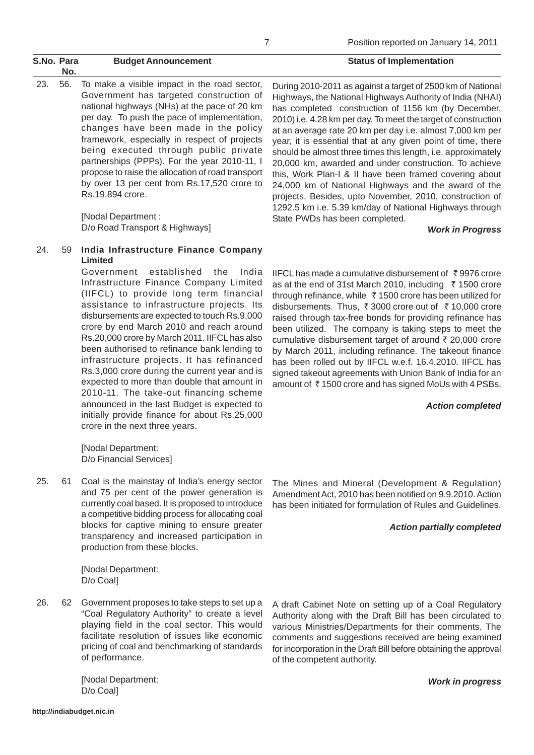23. 56. To make a visible impact in the road sector, Government has targeted construction of national highways (NHs) at the pace of 20 km per day. To push the pace of implementation, changes have been made in the policy framework, especially in respect of projects being executed through public private partnerships (PPPs). For the year 2010-11, I propose to raise the allocation of road transport by over 13 per cent from Rs.17,520 crore to Rs.19,894 crore.

> [Nodal Department : D/o Road Transport & Highways]

## 24. 59 **India Infrastructure Finance Company Limited**

Government established the India Infrastructure Finance Company Limited (IIFCL) to provide long term financial assistance to infrastructure projects. Its disbursements are expected to touch Rs.9,000 crore by end March 2010 and reach around Rs.20,000 crore by March 2011. IIFCL has also been authorised to refinance bank lending to infrastructure projects. It has refinanced Rs.3,000 crore during the current year and is expected to more than double that amount in 2010-11. The take-out financing scheme announced in the last Budget is expected to initially provide finance for about Rs.25,000 crore in the next three years.

[Nodal Department: D/o Financial Services]

25. 61 Coal is the mainstay of India's energy sector and 75 per cent of the power generation is currently coal based. It is proposed to introduce a competitive bidding process for allocating coal blocks for captive mining to ensure greater transparency and increased participation in production from these blocks.

> [Nodal Department: D/o Coal]

26. 62 Government proposes to take steps to set up a "Coal Regulatory Authority" to create a level playing field in the coal sector. This would facilitate resolution of issues like economic pricing of coal and benchmarking of standards of performance.

> [Nodal Department: D/o Coal]

During 2010-2011 as against a target of 2500 km of National Highways, the National Highways Authority of India (NHAI) has completed construction of 1156 km (by December, 2010) i.e. 4.28 km per day. To meet the target of construction at an average rate 20 km per day i.e. almost 7,000 km per year, it is essential that at any given point of time, there should be almost three times this length, i.e. approximately 20,000 km, awarded and under construction. To achieve this, Work Plan-I & II have been framed covering about 24,000 km of National Highways and the award of the projects. Besides, upto November, 2010, construction of 1292.5 km i.e. 5.39 km/day of National Highways through State PWDs has been completed.

## *Work in Progress*

IIFCL has made a cumulative disbursement of  $\bar{\tau}$  9976 crore as at the end of 31st March 2010, including  $\bar{\tau}$  1500 crore through refinance, while  $\bar{\tau}$  1500 crore has been utilized for disbursements. Thus,  $\bar{\tau}$  3000 crore out of  $\bar{\tau}$  10,000 crore raised through tax-free bonds for providing refinance has been utilized. The company is taking steps to meet the cumulative disbursement target of around  $\bar{\tau}$  20,000 crore by March 2011, including refinance. The takeout finance has been rolled out by IIFCL w.e.f. 16.4.2010. IIFCL has signed takeout agreements with Union Bank of India for an amount of  $\bar{\tau}$  1500 crore and has signed MoUs with 4 PSBs.

## *Action completed*

The Mines and Mineral (Development & Regulation) Amendment Act, 2010 has been notified on 9.9.2010. Action has been initiated for formulation of Rules and Guidelines.

## *Action partially completed*

A draft Cabinet Note on setting up of a Coal Regulatory Authority along with the Draft Bill has been circulated to various Ministries/Departments for their comments. The comments and suggestions received are being examined for incorporation in the Draft Bill before obtaining the approval of the competent authority.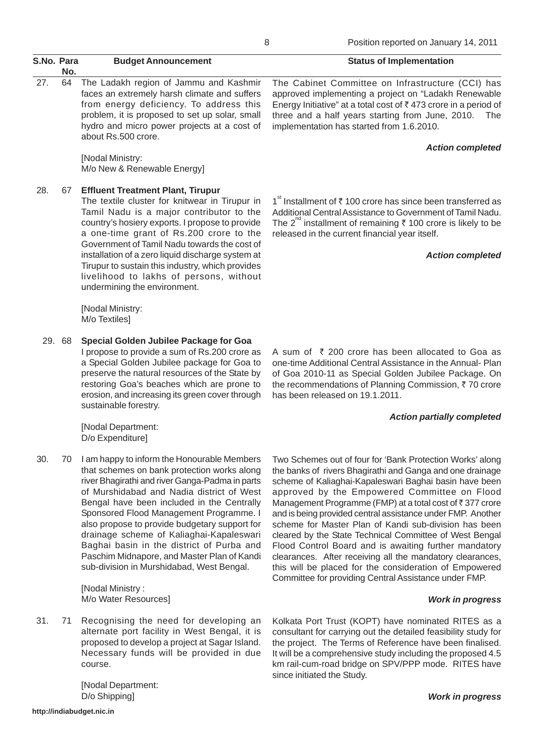|            |        |                                                                                                                                                                                                                                                                                                                                                                                                                                                                                                                                               | Position reported on January 14, 2011<br>8                                                                                                                                                                                                                                                                                                                                                                                                                                                                                                                                                                                                                                                                               |
|------------|--------|-----------------------------------------------------------------------------------------------------------------------------------------------------------------------------------------------------------------------------------------------------------------------------------------------------------------------------------------------------------------------------------------------------------------------------------------------------------------------------------------------------------------------------------------------|--------------------------------------------------------------------------------------------------------------------------------------------------------------------------------------------------------------------------------------------------------------------------------------------------------------------------------------------------------------------------------------------------------------------------------------------------------------------------------------------------------------------------------------------------------------------------------------------------------------------------------------------------------------------------------------------------------------------------|
| S.No. Para | No.    | <b>Budget Announcement</b>                                                                                                                                                                                                                                                                                                                                                                                                                                                                                                                    | <b>Status of Implementation</b>                                                                                                                                                                                                                                                                                                                                                                                                                                                                                                                                                                                                                                                                                          |
| 27.        | 64     | The Ladakh region of Jammu and Kashmir<br>faces an extremely harsh climate and suffers<br>from energy deficiency. To address this<br>problem, it is proposed to set up solar, small<br>hydro and micro power projects at a cost of<br>about Rs.500 crore.                                                                                                                                                                                                                                                                                     | The Cabinet Committee on Infrastructure (CCI) has<br>approved implementing a project on "Ladakh Renewable<br>Energy Initiative" at a total cost of ₹473 crore in a period of<br>three and a half years starting from June, 2010. The<br>implementation has started from 1.6.2010.                                                                                                                                                                                                                                                                                                                                                                                                                                        |
|            |        | [Nodal Ministry:<br>M/o New & Renewable Energy]                                                                                                                                                                                                                                                                                                                                                                                                                                                                                               | <b>Action completed</b>                                                                                                                                                                                                                                                                                                                                                                                                                                                                                                                                                                                                                                                                                                  |
| 28.        | 67     | <b>Effluent Treatment Plant, Tirupur</b><br>The textile cluster for knitwear in Tirupur in<br>Tamil Nadu is a major contributor to the<br>country's hosiery exports. I propose to provide<br>a one-time grant of Rs.200 crore to the<br>Government of Tamil Nadu towards the cost of<br>installation of a zero liquid discharge system at<br>Tirupur to sustain this industry, which provides<br>livelihood to lakhs of persons, without<br>undermining the environment.                                                                      | 1 <sup>st</sup> Installment of $\bar{\tau}$ 100 crore has since been transferred as<br>Additional Central Assistance to Government of Tamil Nadu.<br>The 2 <sup>nd</sup> installment of remaining $\bar{\tau}$ 100 crore is likely to be<br>released in the current financial year itself.<br><b>Action completed</b>                                                                                                                                                                                                                                                                                                                                                                                                    |
|            |        | [Nodal Ministry:<br>M/o Textiles]                                                                                                                                                                                                                                                                                                                                                                                                                                                                                                             |                                                                                                                                                                                                                                                                                                                                                                                                                                                                                                                                                                                                                                                                                                                          |
|            | 29. 68 | Special Golden Jubilee Package for Goa<br>I propose to provide a sum of Rs.200 crore as<br>a Special Golden Jubilee package for Goa to<br>preserve the natural resources of the State by<br>restoring Goa's beaches which are prone to<br>erosion, and increasing its green cover through<br>sustainable forestry.                                                                                                                                                                                                                            | A sum of ₹ 200 crore has been allocated to Goa as<br>one-time Additional Central Assistance in the Annual- Plan<br>of Goa 2010-11 as Special Golden Jubilee Package. On<br>the recommendations of Planning Commission, ₹70 crore<br>has been released on 19.1.2011.                                                                                                                                                                                                                                                                                                                                                                                                                                                      |
|            |        | [Nodal Department:<br>D/o Expenditure]                                                                                                                                                                                                                                                                                                                                                                                                                                                                                                        | <b>Action partially completed</b>                                                                                                                                                                                                                                                                                                                                                                                                                                                                                                                                                                                                                                                                                        |
| 30.        | 70     | I am happy to inform the Honourable Members<br>that schemes on bank protection works along<br>river Bhagirathi and river Ganga-Padma in parts<br>of Murshidabad and Nadia district of West<br>Bengal have been included in the Centrally<br>Sponsored Flood Management Programme. I<br>also propose to provide budgetary support for<br>drainage scheme of Kaliaghai-Kapaleswari<br>Baghai basin in the district of Purba and<br>Paschim Midnapore, and Master Plan of Kandi<br>sub-division in Murshidabad, West Bengal.<br>[Nodal Ministry: | Two Schemes out of four for 'Bank Protection Works' along<br>the banks of rivers Bhagirathi and Ganga and one drainage<br>scheme of Kaliaghai-Kapaleswari Baghai basin have been<br>approved by the Empowered Committee on Flood<br>Management Programme (FMP) at a total cost of ₹377 crore<br>and is being provided central assistance under FMP. Another<br>scheme for Master Plan of Kandi sub-division has been<br>cleared by the State Technical Committee of West Bengal<br>Flood Control Board and is awaiting further mandatory<br>clearances. After receiving all the mandatory clearances,<br>this will be placed for the consideration of Empowered<br>Committee for providing Central Assistance under FMP. |

#### *Work in progress*

*Work in progress*

Kolkata Port Trust (KOPT) have nominated RITES as a consultant for carrying out the detailed feasibility study for the project. The Terms of Reference have been finalised. It will be a comprehensive study including the proposed 4.5 km rail-cum-road bridge on SPV/PPP mode. RITES have since initiated the Study.

[Nodal Department: D/o Shipping]

course.

M/o Water Resources]

31. 71 Recognising the need for developing an

alternate port facility in West Bengal, it is proposed to develop a project at Sagar Island. Necessary funds will be provided in due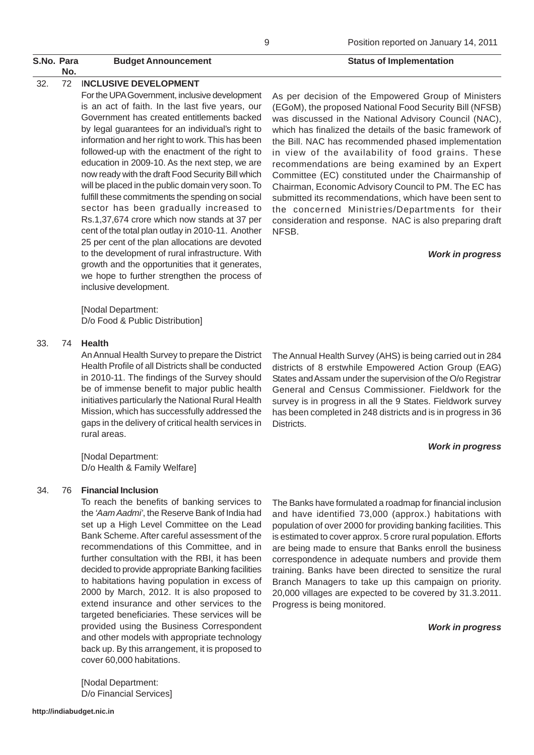## 32. 72 I**NCLUSIVE DEVELOPMENT**

For the UPA Government, inclusive development is an act of faith. In the last five years, our Government has created entitlements backed by legal guarantees for an individual's right to information and her right to work. This has been followed-up with the enactment of the right to education in 2009-10. As the next step, we are now ready with the draft Food Security Bill which will be placed in the public domain very soon. To fulfill these commitments the spending on social sector has been gradually increased to Rs.1,37,674 crore which now stands at 37 per cent of the total plan outlay in 2010-11. Another 25 per cent of the plan allocations are devoted to the development of rural infrastructure. With growth and the opportunities that it generates, we hope to further strengthen the process of inclusive development.

[Nodal Department: D/o Food & Public Distribution]

#### 33. 74 **Health**

An Annual Health Survey to prepare the District Health Profile of all Districts shall be conducted in 2010-11. The findings of the Survey should be of immense benefit to major public health initiatives particularly the National Rural Health Mission, which has successfully addressed the gaps in the delivery of critical health services in rural areas.

[Nodal Department: D/o Health & Family Welfare]

#### 34. 76 **Financial Inclusion**

To reach the benefits of banking services to the *'Aam Aadmi'*, the Reserve Bank of India had set up a High Level Committee on the Lead Bank Scheme. After careful assessment of the recommendations of this Committee, and in further consultation with the RBI, it has been decided to provide appropriate Banking facilities to habitations having population in excess of 2000 by March, 2012. It is also proposed to extend insurance and other services to the targeted beneficiaries. These services will be provided using the Business Correspondent and other models with appropriate technology back up. By this arrangement, it is proposed to cover 60,000 habitations.

[Nodal Department: D/o Financial Services]

# Position reported on January 14, 2011

As per decision of the Empowered Group of Ministers (EGoM), the proposed National Food Security Bill (NFSB) was discussed in the National Advisory Council (NAC), which has finalized the details of the basic framework of the Bill. NAC has recommended phased implementation in view of the availability of food grains. These recommendations are being examined by an Expert Committee (EC) constituted under the Chairmanship of Chairman, Economic Advisory Council to PM. The EC has submitted its recommendations, which have been sent to the concerned Ministries/Departments for their consideration and response. NAC is also preparing draft NFSB.

#### *Work in progress*

The Annual Health Survey (AHS) is being carried out in 284 districts of 8 erstwhile Empowered Action Group (EAG) States and Assam under the supervision of the O/o Registrar General and Census Commissioner. Fieldwork for the survey is in progress in all the 9 States. Fieldwork survey has been completed in 248 districts and is in progress in 36 Districts.

#### *Work in progress*

The Banks have formulated a roadmap for financial inclusion and have identified 73,000 (approx.) habitations with population of over 2000 for providing banking facilities. This is estimated to cover approx. 5 crore rural population. Efforts are being made to ensure that Banks enroll the business correspondence in adequate numbers and provide them training. Banks have been directed to sensitize the rural Branch Managers to take up this campaign on priority. 20,000 villages are expected to be covered by 31.3.2011. Progress is being monitored.

#### *Work in progress*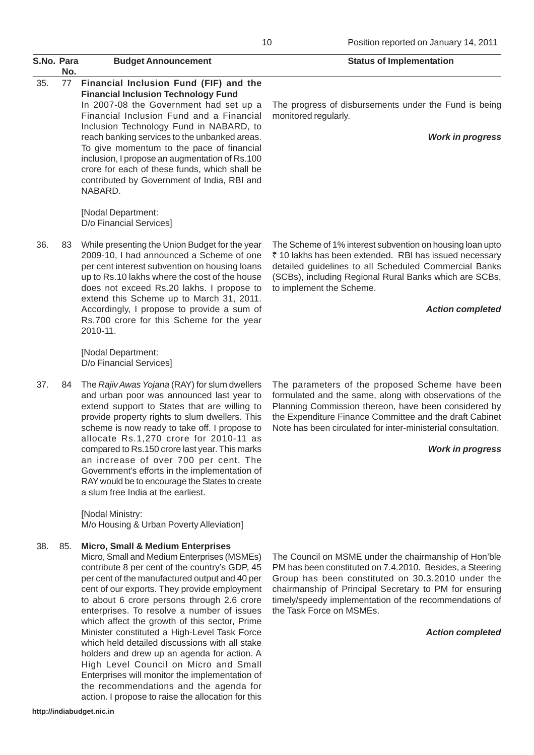|     | S.No. Para<br>No. | <b>Budget Announcement</b>                                                                                                                                                                                                                                                                                                                                                                                                                                                                                                  | <b>Status of Implementation</b>                                                                                                                                                                                                                                                                       |
|-----|-------------------|-----------------------------------------------------------------------------------------------------------------------------------------------------------------------------------------------------------------------------------------------------------------------------------------------------------------------------------------------------------------------------------------------------------------------------------------------------------------------------------------------------------------------------|-------------------------------------------------------------------------------------------------------------------------------------------------------------------------------------------------------------------------------------------------------------------------------------------------------|
| 35. | 77                | Financial Inclusion Fund (FIF) and the<br><b>Financial Inclusion Technology Fund</b><br>In 2007-08 the Government had set up a<br>Financial Inclusion Fund and a Financial<br>Inclusion Technology Fund in NABARD, to<br>reach banking services to the unbanked areas.<br>To give momentum to the pace of financial<br>inclusion, I propose an augmentation of Rs.100<br>crore for each of these funds, which shall be<br>contributed by Government of India, RBI and<br>NABARD.                                            | The progress of disbursements under the Fund is be<br>monitored regularly.<br><b>Work in progr</b>                                                                                                                                                                                                    |
|     |                   | [Nodal Department:<br>D/o Financial Services]                                                                                                                                                                                                                                                                                                                                                                                                                                                                               |                                                                                                                                                                                                                                                                                                       |
| 36. | 83                | While presenting the Union Budget for the year<br>2009-10, I had announced a Scheme of one<br>per cent interest subvention on housing loans<br>up to Rs.10 lakhs where the cost of the house<br>does not exceed Rs.20 lakhs. I propose to<br>extend this Scheme up to March 31, 2011.<br>Accordingly, I propose to provide a sum of<br>Rs.700 crore for this Scheme for the year<br>2010-11.                                                                                                                                | The Scheme of 1% interest subvention on housing loan u<br>₹ 10 lakhs has been extended. RBI has issued necess<br>detailed guidelines to all Scheduled Commercial Ba<br>(SCBs), including Regional Rural Banks which are SC<br>to implement the Scheme.<br><b>Action comple</b>                        |
|     |                   | [Nodal Department:<br>D/o Financial Services]                                                                                                                                                                                                                                                                                                                                                                                                                                                                               |                                                                                                                                                                                                                                                                                                       |
| 37. | 84                | The Rajiv Awas Yojana (RAY) for slum dwellers<br>and urban poor was announced last year to<br>extend support to States that are willing to<br>provide property rights to slum dwellers. This<br>scheme is now ready to take off. I propose to<br>allocate Rs.1,270 crore for 2010-11 as<br>compared to Rs.150 crore last year. This marks<br>an increase of over 700 per cent. The<br>Government's efforts in the implementation of<br>RAY would be to encourage the States to create<br>a slum free India at the earliest. | The parameters of the proposed Scheme have be<br>formulated and the same, along with observations of<br>Planning Commission thereon, have been considered<br>the Expenditure Finance Committee and the draft Cab<br>Note has been circulated for inter-ministerial consultati<br><b>Work in progr</b> |
|     |                   |                                                                                                                                                                                                                                                                                                                                                                                                                                                                                                                             |                                                                                                                                                                                                                                                                                                       |

[Nodal Ministry: M/o Housing & Urban Poverty Alleviation]

### 38. 85. **Micro, Small & Medium Enterprises**

Micro, Small and Medium Enterprises (MSMEs) contribute 8 per cent of the country's GDP, 45 per cent of the manufactured output and 40 per cent of our exports. They provide employment to about 6 crore persons through 2.6 crore enterprises. To resolve a number of issues which affect the growth of this sector, Prime Minister constituted a High-Level Task Force which held detailed discussions with all stake holders and drew up an agenda for action. A High Level Council on Micro and Small Enterprises will monitor the implementation of the recommendations and the agenda for action. I propose to raise the allocation for this

The progress of disbursements under the Fund is being

#### *Work in progress*

The Scheme of 1% interest subvention on housing loan upto ₹ 10 lakhs has been extended. RBI has issued necessary detailed guidelines to all Scheduled Commercial Banks (SCBs), including Regional Rural Banks which are SCBs,

#### *Action completed*

The parameters of the proposed Scheme have been formulated and the same, along with observations of the Planning Commission thereon, have been considered by the Expenditure Finance Committee and the draft Cabinet Note has been circulated for inter-ministerial consultation.

#### *Work in progress*

The Council on MSME under the chairmanship of Hon'ble PM has been constituted on 7.4.2010. Besides, a Steering Group has been constituted on 30.3.2010 under the chairmanship of Principal Secretary to PM for ensuring timely/speedy implementation of the recommendations of the Task Force on MSMEs.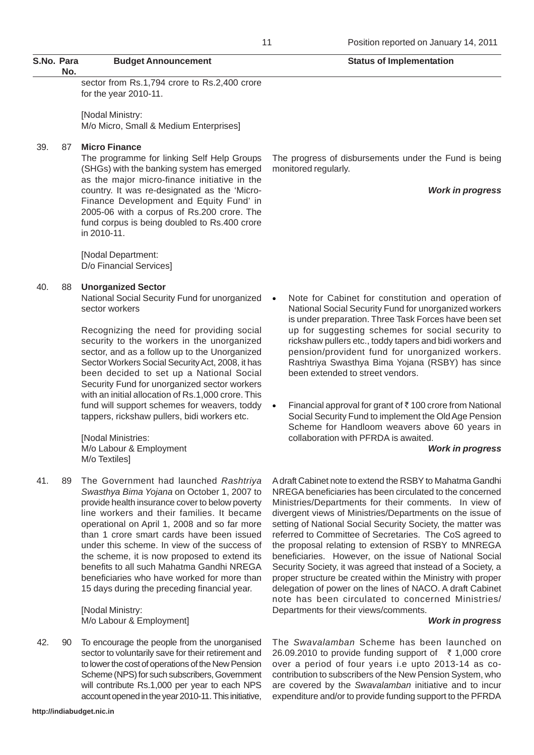sector from Rs.1,794 crore to Rs.2,400 crore for the year 2010-11.

[Nodal Ministry: M/o Micro, Small & Medium Enterprises]

### 39. 87 **Micro Finance**

The programme for linking Self Help Groups (SHGs) with the banking system has emerged as the major micro-finance initiative in the country. It was re-designated as the 'Micro-Finance Development and Equity Fund' in 2005-06 with a corpus of Rs.200 crore. The fund corpus is being doubled to Rs.400 crore in 2010-11.

[Nodal Department: D/o Financial Services]

#### 40. 88 **Unorganized Sector**

National Social Security Fund for unorganized sector workers

Recognizing the need for providing social security to the workers in the unorganized sector, and as a follow up to the Unorganized Sector Workers Social Security Act, 2008, it has been decided to set up a National Social Security Fund for unorganized sector workers with an initial allocation of Rs.1,000 crore. This fund will support schemes for weavers, toddy tappers, rickshaw pullers, bidi workers etc.

[Nodal Ministries: M/o Labour & Employment M/o Textiles]

41. 89 The Government had launched *Rashtriya Swasthya Bima Yojana* on October 1, 2007 to provide health insurance cover to below poverty line workers and their families. It became operational on April 1, 2008 and so far more than 1 crore smart cards have been issued under this scheme. In view of the success of the scheme, it is now proposed to extend its benefits to all such Mahatma Gandhi NREGA beneficiaries who have worked for more than 15 days during the preceding financial year.

> [Nodal Ministry: M/o Labour & Employment]

42. 90 To encourage the people from the unorganised sector to voluntarily save for their retirement and to lower the cost of operations of the New Pension Scheme (NPS) for such subscribers, Government will contribute Rs.1,000 per year to each NPS account opened in the year 2010-11. This initiative,

The progress of disbursements under the Fund is being monitored regularly.

*Work in progress*

- Note for Cabinet for constitution and operation of National Social Security Fund for unorganized workers is under preparation. Three Task Forces have been set up for suggesting schemes for social security to rickshaw pullers etc., toddy tapers and bidi workers and pension/provident fund for unorganized workers. Rashtriya Swasthya Bima Yojana (RSBY) has since been extended to street vendors.
- Financial approval for grant of  $\bar{\tau}$  100 crore from National Social Security Fund to implement the Old Age Pension Scheme for Handloom weavers above 60 years in collaboration with PFRDA is awaited.

#### *Work in progress*

A draft Cabinet note to extend the RSBY to Mahatma Gandhi NREGA beneficiaries has been circulated to the concerned Ministries/Departments for their comments. In view of divergent views of Ministries/Departments on the issue of setting of National Social Security Society, the matter was referred to Committee of Secretaries. The CoS agreed to the proposal relating to extension of RSBY to MNREGA beneficiaries. However, on the issue of National Social Security Society, it was agreed that instead of a Society, a proper structure be created within the Ministry with proper delegation of power on the lines of NACO. A draft Cabinet note has been circulated to concerned Ministries/ Departments for their views/comments.

#### *Work in progress*

The *Swavalamban* Scheme has been launched on 26.09.2010 to provide funding support of  $\bar{\tau}$  1,000 crore over a period of four years i.e upto 2013-14 as cocontribution to subscribers of the New Pension System, who are covered by the *Swavalamban* initiative and to incur expenditure and/or to provide funding support to the PFRDA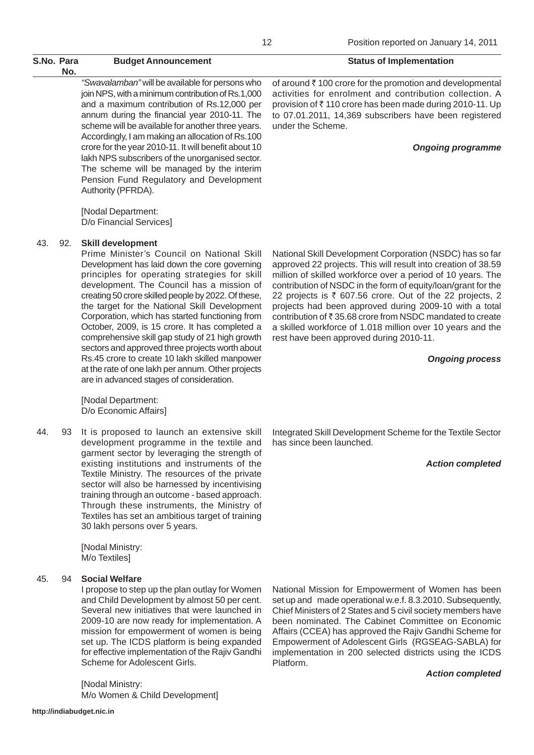*"Swavalamban"* will be available for persons who join NPS, with a minimum contribution of Rs.1,000 and a maximum contribution of Rs.12,000 per annum during the financial year 2010-11. The scheme will be available for another three years. Accordingly, I am making an allocation of Rs.100 crore for the year 2010-11. It will benefit about 10 lakh NPS subscribers of the unorganised sector. The scheme will be managed by the interim Pension Fund Regulatory and Development Authority (PFRDA).

[Nodal Department: D/o Financial Services]

## 43. 92. **Skill development**

Prime Minister's Council on National Skill Development has laid down the core governing principles for operating strategies for skill development. The Council has a mission of creating 50 crore skilled people by 2022. Of these, the target for the National Skill Development Corporation, which has started functioning from October, 2009, is 15 crore. It has completed a comprehensive skill gap study of 21 high growth sectors and approved three projects worth about Rs.45 crore to create 10 lakh skilled manpower at the rate of one lakh per annum. Other projects are in advanced stages of consideration.

[Nodal Department: D/o Economic Affairs]

44. 93 It is proposed to launch an extensive skill development programme in the textile and garment sector by leveraging the strength of existing institutions and instruments of the Textile Ministry. The resources of the private sector will also be harnessed by incentivising training through an outcome - based approach. Through these instruments, the Ministry of Textiles has set an ambitious target of training 30 lakh persons over 5 years.

> [Nodal Ministry: M/o Textiles]

## 45. 94 **Social Welfare**

I propose to step up the plan outlay for Women and Child Development by almost 50 per cent. Several new initiatives that were launched in 2009-10 are now ready for implementation. A mission for empowerment of women is being set up. The ICDS platform is being expanded for effective implementation of the Rajiv Gandhi Scheme for Adolescent Girls.

[Nodal Ministry: M/o Women & Child Development]

of around  $\bar{\tau}$  100 crore for the promotion and developmental activities for enrolment and contribution collection. A provision of ₹110 crore has been made during 2010-11. Up to 07.01.2011, 14,369 subscribers have been registered under the Scheme.

### *Ongoing programme*

National Skill Development Corporation (NSDC) has so far approved 22 projects. This will result into creation of 38.59 million of skilled workforce over a period of 10 years. The contribution of NSDC in the form of equity/loan/grant for the 22 projects is  $\bar{\tau}$  607.56 crore. Out of the 22 projects, 2 projects had been approved during 2009-10 with a total contribution of  $\bar{\tau}$  35.68 crore from NSDC mandated to create a skilled workforce of 1.018 million over 10 years and the rest have been approved during 2010-11.

#### *Ongoing process*

Integrated Skill Development Scheme for the Textile Sector has since been launched.

### *Action completed*

National Mission for Empowerment of Women has been set up and made operational w.e.f. 8.3.2010. Subsequently, Chief Ministers of 2 States and 5 civil society members have been nominated. The Cabinet Committee on Economic Affairs (CCEA) has approved the Rajiv Gandhi Scheme for Empowerment of Adolescent Girls (RGSEAG-SABLA) for implementation in 200 selected districts using the ICDS Platform.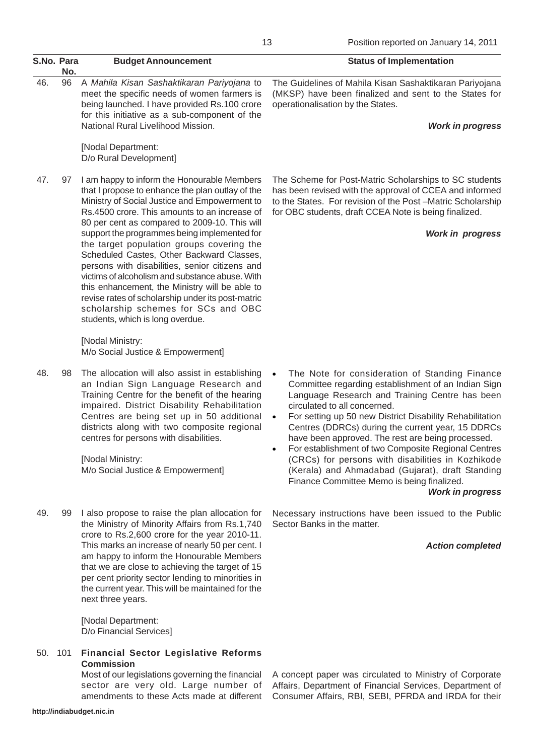|            |     |                                                                                                                                                                                                                                                                                                                                                                                                                                                                                                                                                                                                                                                                                     | Position reported on January 14, 2011<br>13                                                                                                                                                                                                                                                                                                                                                                                                                                                                                                                                                                                                   |
|------------|-----|-------------------------------------------------------------------------------------------------------------------------------------------------------------------------------------------------------------------------------------------------------------------------------------------------------------------------------------------------------------------------------------------------------------------------------------------------------------------------------------------------------------------------------------------------------------------------------------------------------------------------------------------------------------------------------------|-----------------------------------------------------------------------------------------------------------------------------------------------------------------------------------------------------------------------------------------------------------------------------------------------------------------------------------------------------------------------------------------------------------------------------------------------------------------------------------------------------------------------------------------------------------------------------------------------------------------------------------------------|
| S.No. Para | No. | <b>Budget Announcement</b>                                                                                                                                                                                                                                                                                                                                                                                                                                                                                                                                                                                                                                                          | <b>Status of Implementation</b>                                                                                                                                                                                                                                                                                                                                                                                                                                                                                                                                                                                                               |
| 46.        | 96  | A Mahila Kisan Sashaktikaran Pariyojana to<br>meet the specific needs of women farmers is<br>being launched. I have provided Rs.100 crore<br>for this initiative as a sub-component of the<br>National Rural Livelihood Mission.                                                                                                                                                                                                                                                                                                                                                                                                                                                    | The Guidelines of Mahila Kisan Sashaktikaran Pariyojana<br>(MKSP) have been finalized and sent to the States for<br>operationalisation by the States.<br><b>Work in progress</b>                                                                                                                                                                                                                                                                                                                                                                                                                                                              |
|            |     | [Nodal Department:<br>D/o Rural Development]                                                                                                                                                                                                                                                                                                                                                                                                                                                                                                                                                                                                                                        |                                                                                                                                                                                                                                                                                                                                                                                                                                                                                                                                                                                                                                               |
| 47.        | 97  | I am happy to inform the Honourable Members<br>that I propose to enhance the plan outlay of the<br>Ministry of Social Justice and Empowerment to<br>Rs.4500 crore. This amounts to an increase of<br>80 per cent as compared to 2009-10. This will<br>support the programmes being implemented for<br>the target population groups covering the<br>Scheduled Castes, Other Backward Classes,<br>persons with disabilities, senior citizens and<br>victims of alcoholism and substance abuse. With<br>this enhancement, the Ministry will be able to<br>revise rates of scholarship under its post-matric<br>scholarship schemes for SCs and OBC<br>students, which is long overdue. | The Scheme for Post-Matric Scholarships to SC students<br>has been revised with the approval of CCEA and informed<br>to the States. For revision of the Post-Matric Scholarship<br>for OBC students, draft CCEA Note is being finalized.<br><b>Work in progress</b>                                                                                                                                                                                                                                                                                                                                                                           |
|            |     | [Nodal Ministry:<br>M/o Social Justice & Empowerment]                                                                                                                                                                                                                                                                                                                                                                                                                                                                                                                                                                                                                               |                                                                                                                                                                                                                                                                                                                                                                                                                                                                                                                                                                                                                                               |
| 48.        | 98  | The allocation will also assist in establishing<br>an Indian Sign Language Research and<br>Training Centre for the benefit of the hearing<br>impaired. District Disability Rehabilitation<br>Centres are being set up in 50 additional<br>districts along with two composite regional<br>centres for persons with disabilities.<br>[Nodal Ministry:<br>M/o Social Justice & Empowerment]                                                                                                                                                                                                                                                                                            | The Note for consideration of Standing Finance<br>$\bullet$<br>Committee regarding establishment of an Indian Sign<br>Language Research and Training Centre has been<br>circulated to all concerned.<br>For setting up 50 new District Disability Rehabilitation<br>$\bullet$<br>Centres (DDRCs) during the current year, 15 DDRCs<br>have been approved. The rest are being processed.<br>For establishment of two Composite Regional Centres<br>$\bullet$<br>(CRCs) for persons with disabilities in Kozhikode<br>(Kerala) and Ahmadabad (Gujarat), draft Standing<br>Finance Committee Memo is being finalized.<br><b>Work in progress</b> |
| 49.        | 99  | I also propose to raise the plan allocation for<br>the Ministry of Minority Affairs from Rs.1,740<br>crore to Rs.2,600 crore for the year 2010-11.<br>This marks an increase of nearly 50 per cent. I<br>am happy to inform the Honourable Members<br>that we are close to achieving the target of 15<br>per cent priority sector lending to minorities in<br>the current year. This will be maintained for the<br>next three years.                                                                                                                                                                                                                                                | Necessary instructions have been issued to the Public<br>Sector Banks in the matter.<br><b>Action completed</b>                                                                                                                                                                                                                                                                                                                                                                                                                                                                                                                               |

[Nodal Department: D/o Financial Services]

50. 101 **Financial Sector Legislative Reforms Commission**

Most of our legislations governing the financial sector are very old. Large number of amendments to these Acts made at different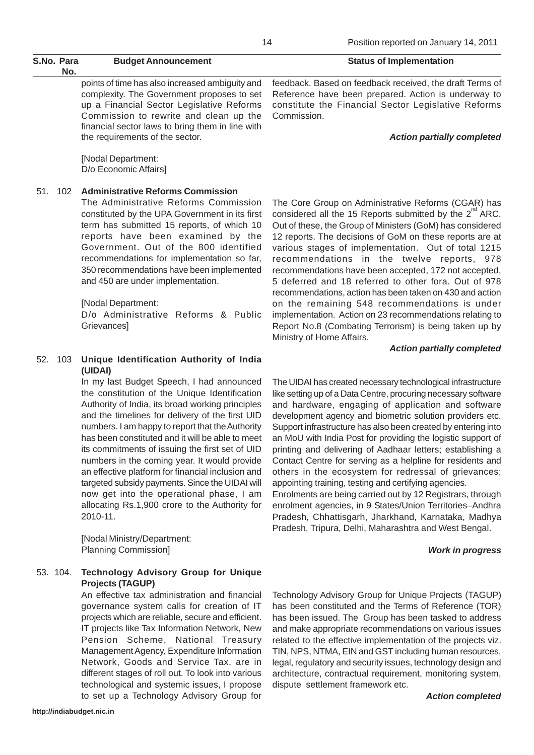## S.No. Para **Budget Announcement** S.No. Para **Budget Announcement No.**

points of time has also increased ambiguity and complexity. The Government proposes to set up a Financial Sector Legislative Reforms Commission to rewrite and clean up the financial sector laws to bring them in line with the requirements of the sector.

[Nodal Department: D/o Economic Affairs]

## 51. 102 **Administrative Reforms Commission**

The Administrative Reforms Commission constituted by the UPA Government in its first term has submitted 15 reports, of which 10 reports have been examined by the Government. Out of the 800 identified recommendations for implementation so far, 350 recommendations have been implemented and 450 are under implementation.

## [Nodal Department:

D/o Administrative Reforms & Public **Grievances1** 

## 52. 103 **Unique Identification Authority of India (UIDAI)**

In my last Budget Speech, I had announced the constitution of the Unique Identification Authority of India, its broad working principles and the timelines for delivery of the first UID numbers. I am happy to report that the Authority has been constituted and it will be able to meet its commitments of issuing the first set of UID numbers in the coming year. It would provide an effective platform for financial inclusion and targeted subsidy payments. Since the UIDAI will now get into the operational phase, I am allocating Rs.1,900 crore to the Authority for 2010-11.

[Nodal Ministry/Department: Planning Commission]

## 53. 104. **Technology Advisory Group for Unique Projects (TAGUP)**

An effective tax administration and financial governance system calls for creation of IT projects which are reliable, secure and efficient. IT projects like Tax Information Network, New Pension Scheme, National Treasury Management Agency, Expenditure Information Network, Goods and Service Tax, are in different stages of roll out. To look into various technological and systemic issues, I propose to set up a Technology Advisory Group for

feedback. Based on feedback received, the draft Terms of Reference have been prepared. Action is underway to constitute the Financial Sector Legislative Reforms Commission.

#### *Action partially completed*

The Core Group on Administrative Reforms (CGAR) has considered all the 15 Reports submitted by the  $2^{nd}$  ARC. Out of these, the Group of Ministers (GoM) has considered 12 reports. The decisions of GoM on these reports are at various stages of implementation. Out of total 1215 recommendations in the twelve reports, 978 recommendations have been accepted, 172 not accepted, 5 deferred and 18 referred to other fora. Out of 978 recommendations, action has been taken on 430 and action on the remaining 548 recommendations is under implementation. Action on 23 recommendations relating to Report No.8 (Combating Terrorism) is being taken up by Ministry of Home Affairs.

### *Action partially completed*

The UIDAI has created necessary technological infrastructure like setting up of a Data Centre, procuring necessary software and hardware, engaging of application and software development agency and biometric solution providers etc. Support infrastructure has also been created by entering into an MoU with India Post for providing the logistic support of printing and delivering of Aadhaar letters; establishing a Contact Centre for serving as a helpline for residents and others in the ecosystem for redressal of grievances; appointing training, testing and certifying agencies.

Enrolments are being carried out by 12 Registrars, through enrolment agencies, in 9 States/Union Territories–Andhra Pradesh, Chhattisgarh, Jharkhand, Karnataka, Madhya Pradesh, Tripura, Delhi, Maharashtra and West Bengal.

### *Work in progress*

Technology Advisory Group for Unique Projects (TAGUP) has been constituted and the Terms of Reference (TOR) has been issued. The Group has been tasked to address and make appropriate recommendations on various issues related to the effective implementation of the projects viz. TIN, NPS, NTMA, EIN and GST including human resources, legal, regulatory and security issues, technology design and architecture, contractual requirement, monitoring system, dispute settlement framework etc.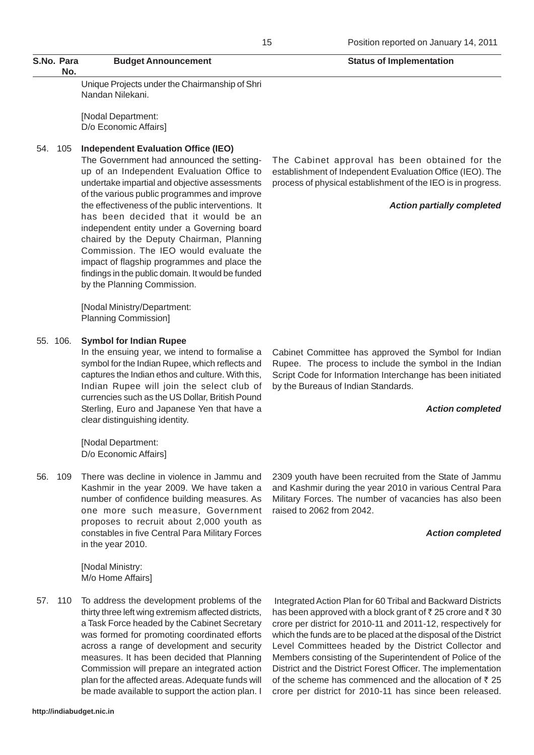Unique Projects under the Chairmanship of Shri Nandan Nilekani.

[Nodal Department: D/o Economic Affairs]

### 54. 105 **Independent Evaluation Office (IEO)**

The Government had announced the settingup of an Independent Evaluation Office to undertake impartial and objective assessments of the various public programmes and improve the effectiveness of the public interventions. It has been decided that it would be an independent entity under a Governing board chaired by the Deputy Chairman, Planning Commission. The IEO would evaluate the impact of flagship programmes and place the findings in the public domain. It would be funded by the Planning Commission.

[Nodal Ministry/Department: Planning Commission]

#### 55. 106. **Symbol for Indian Rupee**

In the ensuing year, we intend to formalise a symbol for the Indian Rupee, which reflects and captures the Indian ethos and culture. With this, Indian Rupee will join the select club of currencies such as the US Dollar, British Pound Sterling, Euro and Japanese Yen that have a clear distinguishing identity.

[Nodal Department: D/o Economic Affairs]

56. 109 There was decline in violence in Jammu and Kashmir in the year 2009. We have taken a number of confidence building measures. As one more such measure, Government proposes to recruit about 2,000 youth as constables in five Central Para Military Forces in the year 2010.

> [Nodal Ministry: M/o Home Affairs]

57. 110 To address the development problems of the thirty three left wing extremism affected districts, a Task Force headed by the Cabinet Secretary was formed for promoting coordinated efforts across a range of development and security measures. It has been decided that Planning Commission will prepare an integrated action plan for the affected areas. Adequate funds will be made available to support the action plan. I

The Cabinet approval has been obtained for the establishment of Independent Evaluation Office (IEO). The process of physical establishment of the IEO is in progress.

#### *Action partially completed*

Cabinet Committee has approved the Symbol for Indian Rupee. The process to include the symbol in the Indian Script Code for Information Interchange has been initiated by the Bureaus of Indian Standards.

#### *Action completed*

2309 youth have been recruited from the State of Jammu and Kashmir during the year 2010 in various Central Para Military Forces. The number of vacancies has also been raised to 2062 from 2042.

#### *Action completed*

 Integrated Action Plan for 60 Tribal and Backward Districts has been approved with a block grant of  $\bar{z}$  25 crore and  $\bar{z}$  30 crore per district for 2010-11 and 2011-12, respectively for which the funds are to be placed at the disposal of the District Level Committees headed by the District Collector and Members consisting of the Superintendent of Police of the District and the District Forest Officer. The implementation of the scheme has commenced and the allocation of  $\bar{z}$  25 crore per district for 2010-11 has since been released.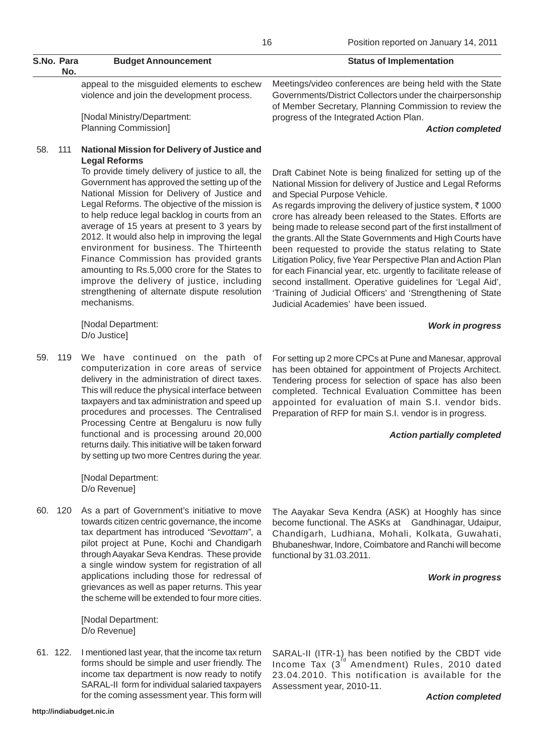[Nodal Ministry/Department: Planning Commission]

### 58. 111 **National Mission for Delivery of Justice and Legal Reforms**

To provide timely delivery of justice to all, the Government has approved the setting up of the National Mission for Delivery of Justice and Legal Reforms. The objective of the mission is to help reduce legal backlog in courts from an average of 15 years at present to 3 years by 2012. It would also help in improving the legal environment for business. The Thirteenth Finance Commission has provided grants amounting to Rs.5,000 crore for the States to improve the delivery of justice, including strengthening of alternate dispute resolution mechanisms.

[Nodal Department: D/o Justice]

59. 119 We have continued on the path of computerization in core areas of service delivery in the administration of direct taxes. This will reduce the physical interface between taxpayers and tax administration and speed up procedures and processes. The Centralised Processing Centre at Bengaluru is now fully functional and is processing around 20,000 returns daily. This initiative will be taken forward by setting up two more Centres during the year.

> [Nodal Department: D/o Revenue]

60. 120 As a part of Government's initiative to move towards citizen centric governance, the income tax department has introduced *"Sevottam"*, a pilot project at Pune, Kochi and Chandigarh through Aayakar Seva Kendras. These provide a single window system for registration of all applications including those for redressal of grievances as well as paper returns. This year the scheme will be extended to four more cities.

> [Nodal Department: D/o Revenue]

61. 122. I mentioned last year, that the income tax return forms should be simple and user friendly. The income tax department is now ready to notify SARAL-II form for individual salaried taxpayers for the coming assessment year. This form will

Assessment year, 2010-11.

Governments/District Collectors under the chairpersonship of Member Secretary, Planning Commission to review the progress of the Integrated Action Plan.

*Action completed*

Draft Cabinet Note is being finalized for setting up of the National Mission for delivery of Justice and Legal Reforms and Special Purpose Vehicle.

As regards improving the delivery of justice system,  $\bar{\tau}$  1000 crore has already been released to the States. Efforts are being made to release second part of the first installment of the grants. All the State Governments and High Courts have been requested to provide the status relating to State Litigation Policy, five Year Perspective Plan and Action Plan for each Financial year, etc. urgently to facilitate release of second installment. Operative guidelines for 'Legal Aid', 'Training of Judicial Officers' and 'Strengthening of State Judicial Academies' have been issued.

### *Work in progress*

For setting up 2 more CPCs at Pune and Manesar, approval has been obtained for appointment of Projects Architect. Tendering process for selection of space has also been completed. Technical Evaluation Committee has been appointed for evaluation of main S.I. vendor bids. Preparation of RFP for main S.I. vendor is in progress.

### *Action partially completed*

The Aayakar Seva Kendra (ASK) at Hooghly has since become functional. The ASKs at Gandhinagar, Udaipur, Chandigarh, Ludhiana, Mohali, Kolkata, Guwahati, Bhubaneshwar, Indore, Coimbatore and Ranchi will become functional by 31.03.2011.

### *Work in progress*

SARAL-II (ITR-1) has been notified by the CBDT vide Income Tax  $(3<sup>d</sup>$  Amendment) Rules, 2010 dated 23.04.2010. This notification is available for the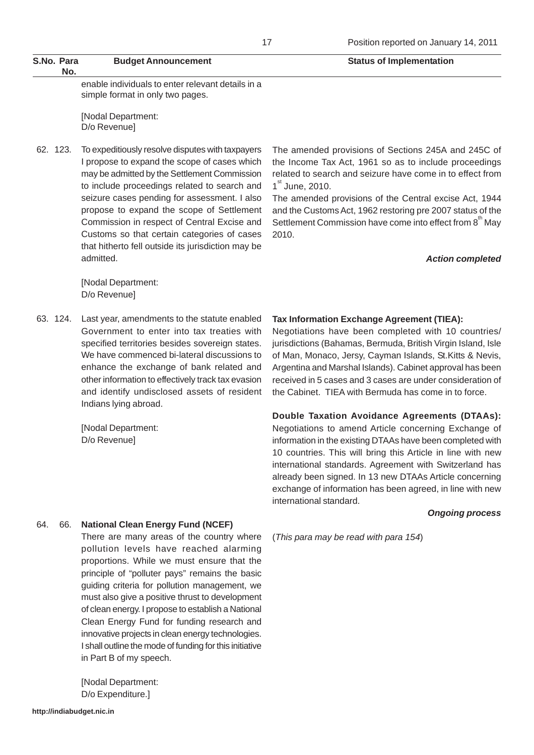enable individuals to enter relevant details in a simple format in only two pages.

[Nodal Department: D/o Revenue]

62. 123. To expeditiously resolve disputes with taxpayers I propose to expand the scope of cases which may be admitted by the Settlement Commission to include proceedings related to search and seizure cases pending for assessment. I also propose to expand the scope of Settlement Commission in respect of Central Excise and Customs so that certain categories of cases that hitherto fell outside its jurisdiction may be admitted.

> [Nodal Department: D/o Revenue]

63. 124. Last year, amendments to the statute enabled Government to enter into tax treaties with specified territories besides sovereign states. We have commenced bi-lateral discussions to enhance the exchange of bank related and other information to effectively track tax evasion and identify undisclosed assets of resident Indians lying abroad.

> [Nodal Department: D/o Revenue]

The amended provisions of Sections 245A and 245C of the Income Tax Act, 1961 so as to include proceedings related to search and seizure have come in to effect from 1<sup>st</sup> June, 2010.

The amended provisions of the Central excise Act, 1944 and the Customs Act, 1962 restoring pre 2007 status of the Settlement Commission have come into effect from  $8<sup>th</sup>$  May 2010.

#### *Action completed*

### **Tax Information Exchange Agreement (TIEA):**

Negotiations have been completed with 10 countries/ jurisdictions (Bahamas, Bermuda, British Virgin Island, Isle of Man, Monaco, Jersy, Cayman Islands, St.Kitts & Nevis, Argentina and Marshal Islands). Cabinet approval has been received in 5 cases and 3 cases are under consideration of the Cabinet. TIEA with Bermuda has come in to force.

**Double Taxation Avoidance Agreements (DTAAs):**

Negotiations to amend Article concerning Exchange of information in the existing DTAAs have been completed with 10 countries. This will bring this Article in line with new international standards. Agreement with Switzerland has already been signed. In 13 new DTAAs Article concerning exchange of information has been agreed, in line with new international standard.

#### *Ongoing process*

(*This para may be read with para 154*)

### 64. 66. **National Clean Energy Fund (NCEF)**

There are many areas of the country where pollution levels have reached alarming proportions. While we must ensure that the principle of "polluter pays" remains the basic guiding criteria for pollution management, we must also give a positive thrust to development of clean energy. I propose to establish a National Clean Energy Fund for funding research and innovative projects in clean energy technologies. I shall outline the mode of funding for this initiative in Part B of my speech.

[Nodal Department: D/o Expenditure.]